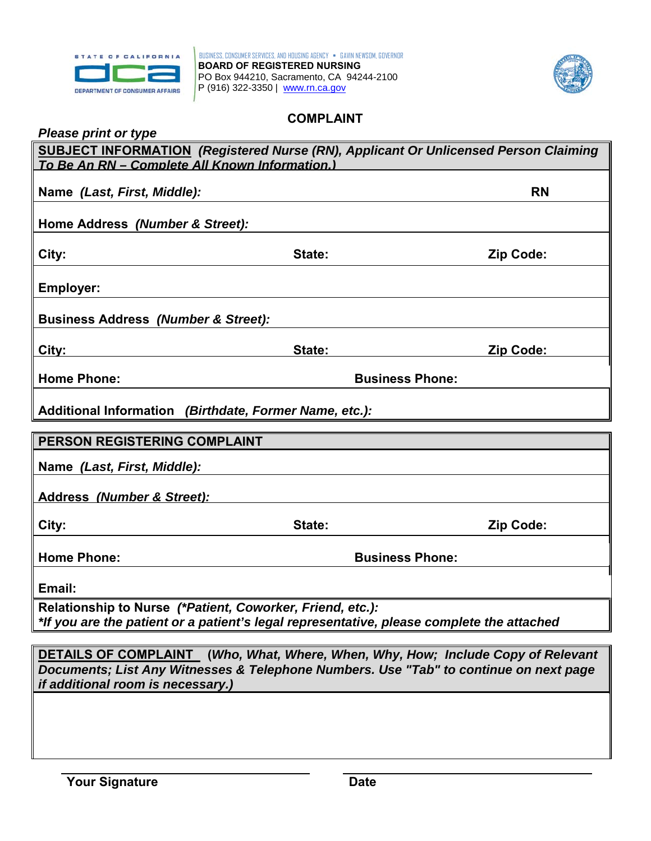



## **COMPLAINT**

| <b>Please print or type</b> |  |  |
|-----------------------------|--|--|
|-----------------------------|--|--|

| <b>SUBJECT INFORMATION</b> (Registered Nurse (RN), Applicant Or Unlicensed Person Claiming<br>To Be An RN - Complete All Known Information.)                                                                          |                        |                        |  |
|-----------------------------------------------------------------------------------------------------------------------------------------------------------------------------------------------------------------------|------------------------|------------------------|--|
| Name (Last, First, Middle):                                                                                                                                                                                           |                        | <b>RN</b>              |  |
|                                                                                                                                                                                                                       |                        |                        |  |
| Home Address (Number & Street):                                                                                                                                                                                       |                        |                        |  |
| City:                                                                                                                                                                                                                 | State:                 | <b>Zip Code:</b>       |  |
| <b>Employer:</b>                                                                                                                                                                                                      |                        |                        |  |
| <b>Business Address (Number &amp; Street):</b>                                                                                                                                                                        |                        |                        |  |
| City:                                                                                                                                                                                                                 | State:                 | Zip Code:              |  |
| <b>Home Phone:</b>                                                                                                                                                                                                    |                        | <b>Business Phone:</b> |  |
| Additional Information (Birthdate, Former Name, etc.):                                                                                                                                                                |                        |                        |  |
| PERSON REGISTERING COMPLAINT                                                                                                                                                                                          |                        |                        |  |
| Name (Last, First, Middle):                                                                                                                                                                                           |                        |                        |  |
| Address (Number & Street):                                                                                                                                                                                            |                        |                        |  |
| City:                                                                                                                                                                                                                 | State:                 | Zip Code:              |  |
| <b>Home Phone:</b>                                                                                                                                                                                                    | <b>Business Phone:</b> |                        |  |
| Email:                                                                                                                                                                                                                |                        |                        |  |
| Relationship to Nurse (*Patient, Coworker, Friend, etc.):<br>*If you are the patient or a patient's legal representative, please complete the attached                                                                |                        |                        |  |
|                                                                                                                                                                                                                       |                        |                        |  |
| <b>DETAILS OF COMPLAINT</b> (Who, What, Where, When, Why, How; Include Copy of Relevant<br>Documents; List Any Witnesses & Telephone Numbers. Use "Tab" to continue on next page<br>if additional room is necessary.) |                        |                        |  |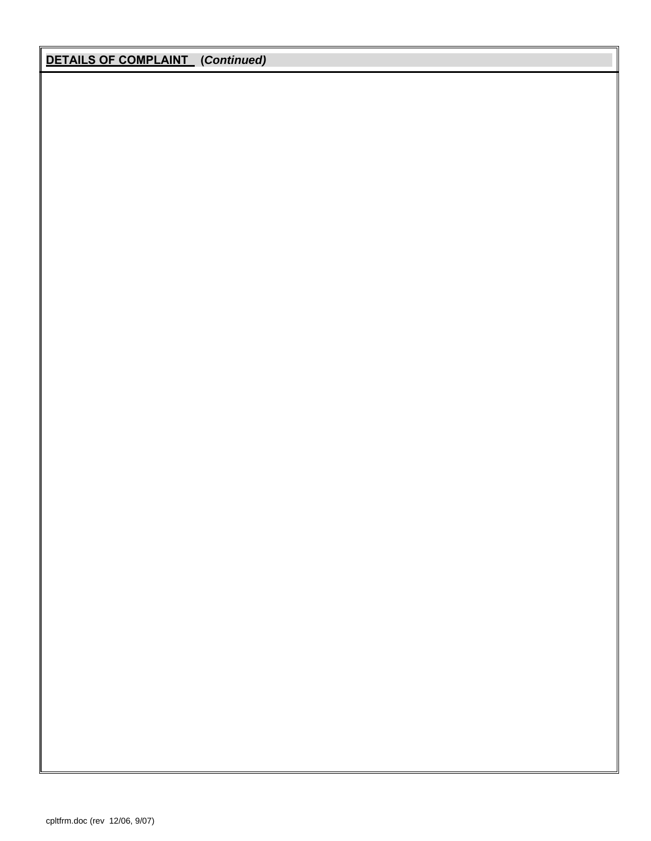## **DETAILS OF COMPLAINT (***Continued)*